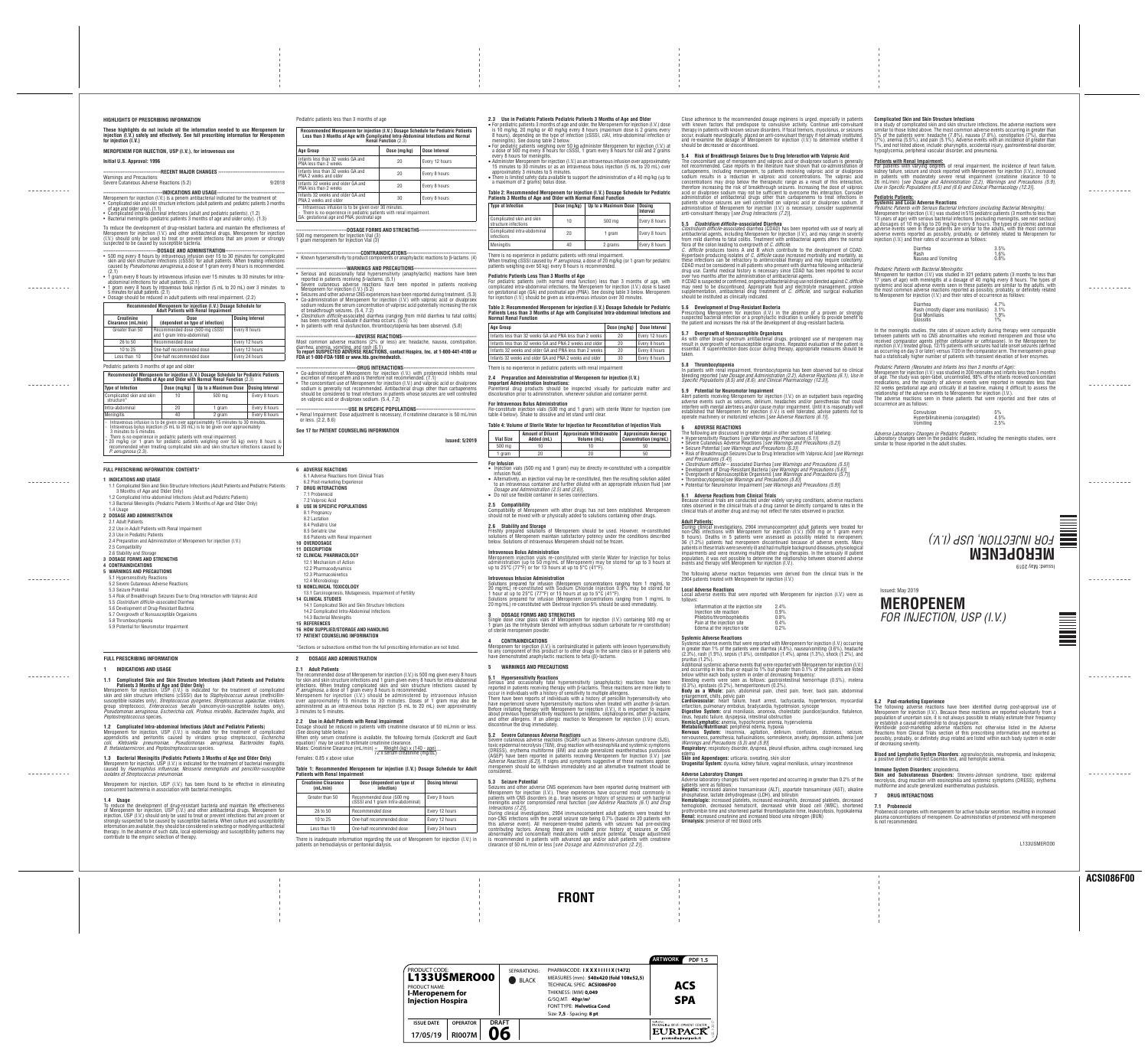# **FRONT**



<u> - - - - - - - - - -</u>

-----------

≣

**NORTHLE** 

# L133USMERO00

# Issued: May 2019 **MEROPENEM** *FOR INJECTION, USP (I.V.)*

# Issued: May 2019 **MEROPENEM** *FOR INJECTION, USP (I.V.)*

Meropenem for injection, USP (I.V.) is indicated for the treatment of complicated appendicitis and peritonitis caused by viridans group streptococci, *Escherichia coli*, *Klebsiella pneumoniae*, *Pseudomonas aeruginosa*, *Bacteroides fragilis*, *B. thetaiotaomicron*, and *Peptostreptococcus* species.

**1.3 Bacterial Meningitis (Pediatric Patients 3 Months of Age and Older Only)** Meropenem for injection, USP (I.V.) is indicated for the treatment of bacterial meningitis caused by *Haemophilus influenzae*, *Neisseria meningitidis and penicillin-susceptible* 

**2.2 Use in Adult Patients with Renal Impairment** (See dosing table below.) equation)1 may be used to estimate creatinine clearance. Males: Creatinine Clearance (mL/min) = <u>Weight (kg) x (140 - age)</u>

*isolates of Streptococcus pneumoniae*. Meropenem for injection, USP (I.V.) has been found to be effective in eliminating concurrent bacteremia in association with bacterial meningitis.

creatinine clearance of 50 mL/min or less. When only serum creatinine is available, the following formula (Cockcroft and Gault

**1.4 Usage** To reduce the development of drug-resistant bacteria and maintain the effectiveness of Meropenem for injection, USP (I.V.) and other antibacterial drugs, Meropenem for injection, USP (I.V.) should only be used to treat or prevent infections that are proven or strongly suspected to be caused by susceptible bacteria. When culture and susceptibility information are available, they should be considered in selecting or modifying antibacterial

therapy. In the absence of such data, local epidemiology and susceptibility patterns may

contribute to the empiric selection of therapy.

. <u>. . . . . . . . . .</u> .

<u> - - - - - - - - - -</u>

. <u>. . . . . . . . . .</u> .

\_\_\_\_\_\_\_\_\_\_\_

<u> - - - - - - - - - -</u> -

The recommended dose of Meropenem for injection (I.V.) is 500 mg given every 8 hours for skin and skin structure infections and 1 gram given every 8 hours for intra-abdominal Meropenem for injection (I.V.) should be administered by intravenous infusion

over approximately 15 minutes to 30 minutes. Doses of 1 gram may also be 72 x serum creatinine (mg/dL) Females: 0.85 x above value

There is no experience in pediatric patients with renal impairment **2.4 Preparation and Administration of Meropenem for injection (I.V.) Important Administration Instructions:**  Parenteral drug products should be inspected visually for particulate matter and

**Table 1: Recommended Meropenem for injection (I.V.) Dosage Schedule for Adult** 

| <b>Creatinine Clearance</b><br>(mL/min) | Dose (dependent on type of<br>infection)                      | <b>Dosing Interval</b>                    |  |
|-----------------------------------------|---------------------------------------------------------------|-------------------------------------------|--|
| Greater than 50                         | Recommended dose (500 mg<br>cSSSI and 1 gram Intra-abdominal) | Every 8 hours                             |  |
| 26 to 50                                | Recommended dose                                              | Every 12 hours                            |  |
| 10 to 25                                | One-half recommended dose                                     | Every 12 hours                            |  |
| $1$ and than $10$                       | One holf recommended deep                                     | $F_{i,0}$ $\beta$ $\beta$ $\beta$ $\beta$ |  |

|                 | <b>Patients with Renal Impairment</b>   |                                                                                 |                        |  |  |  |  |  |
|-----------------|-----------------------------------------|---------------------------------------------------------------------------------|------------------------|--|--|--|--|--|
|                 | <b>Creatinine Clearance</b><br>(mL/min) | Dose (dependent on type of<br>infection)                                        | <b>Dosing Interval</b> |  |  |  |  |  |
| Greater than 50 |                                         | Recommended dose (500 mg)<br>Every 8 hours<br>cSSSI and 1 gram Intra-abdominal) |                        |  |  |  |  |  |
|                 | 26 to 50                                | Recommended dose                                                                | Every 12 hours         |  |  |  |  |  |
|                 | 10 to 25                                | One-half recommended dose                                                       | Every 12 hours         |  |  |  |  |  |
|                 | $\sim$<br>$\sim$                        | .                                                                               | - - -                  |  |  |  |  |  |

· Injection vials (500 mg and 1 gram) may be directly re-constituted with a compatible nḟusion fluid · Alternatively, an injection vial may be re-constituted, then the resulting solution added to an intravenous container and further diluted with an appropriate infusion fluid [*see Dosage and Administration (2.5) and (2.6)*]. • Do not use flexible container in series connections.

There is inadequate information regarding the use of Meropenem for injection (I.V.) in

patients on hemodialysis or peritoneal dialysis.

- 
- 
- Less than  $10$   $\vert$  One-half recommended dose  $\vert$  Every 24 hours

npatibility of Meropenem with other drugs has not been established. Meropenem should not be mixed with or physically added to solutions containing other drugs.

#### **2.3 Use in Pediatric Patients Pediatric Patients 3 Months of Age and Older** · For pediatric patients 3 months of age and older, the Meropenem for injection (I.V.) dose is 10 mg/kg, 20 mg/kg or 40 mg/kg every 8 hours (maximum dose is 2 grams every

8 hours), depending on the type of infection (cSSSI, cIAI, intra-abdominal infection or meningitis). See dosing table 2 below.

· For pediatric patients weighing over 50 kg administer Meropenem for injection (I.V.) at a dose of 500 mg every 8 hours for cSSSI, 1 gram every 8 hours for cIAI and 2 grams

every 8 hours for meningitis.

· Administer Meropenem for injection (I.V.) as an intravenous infusion over approximately 15 minutes to 30 minutes or as an intravenous bolus injection (5 mL to 20 mL) over

|                 | Dose (mg/kg) | <b>Dose Interval</b> |  |  |  |
|-----------------|--------------|----------------------|--|--|--|
| weeks           | 20           | Every 12 hours       |  |  |  |
| d older         | 20           | Every 8 hours        |  |  |  |
| weeks           | 20           | Every 8 hours        |  |  |  |
| l older         | 30           | Every 8 hours        |  |  |  |
| enal imnairment |              |                      |  |  |  |

approximately 3 minutes to 5 minutes. · There is limited safety data available to support the administration of a 40 mg/kg (up to a maximum of 2 grams) bolus dose.

about previous hypersensitivity reactions to penicillins, cephalosporins, other β-lactams, and other allergens. If an allergic reaction to Meropenem for injection (I.V.) occurs,

# **Table 2: Recommended Meropenem for injection (I.V.) Dosage Schedule for Pediatric Patients 3 Months of Age and Older with Normal Renal Function**

| <b>Type of Infection</b>                          | Dose (mg/kg) | Up to a Maximum Dose | <b>Dosing</b><br><b>Interval</b> |
|---------------------------------------------------|--------------|----------------------|----------------------------------|
| Complicated skin and skin<br>structure infections | 10           | 500 mg               | Every 8 hours                    |
| Complicated intra-abdominal<br>infections         | 20           | 1 gram               | Every 8 hours                    |
| <b>Meningitis</b>                                 | 40           | 2 grams              | Every 8 hours                    |

When treating cSSSI caused by *P. aeruginosa*, a dose of 20 mg/kg (or 1 gram for pediatric patients weighing over 50 kg) every 8 hours is recommended.

**Pediatric Patients Less Than 3 Months of Age**  For pediatric patients (with normal renal function) less than 3 months of age, with complicated intra-abdominal infections, the Meropenem for injection (I.V.) dose is based on gestational age (GA) and postnatal age (PNA). See dosing table 3 below. Meropenem for injection (I.V.) should be given as intravenous infusion over 30 minutes. **Table 3: Recommended Meropenem for injection (I.V.) Dosage Schedule for Pediatric** 

#### **Patients Less than 3 Months of Age with Complicated Intra-abdominal Infections and Normal Renal Function Age Group Dose (mg/kg) Dose Interval**

Infants less than 32 weeks GA and PNA less than 2 Infants less than 32 weeks GA and PNA 2 weeks and Infants 32 weeks and older GA and PNA less than 2 Infants 32 weeks and older GA and PNA 2 weeks and

discoloration prior to administration, whenever solution and container permit. **For Intravenous Bolus Administration** Re-constitute injection vials (500 mg and 1 gram) with sterile Water for Injection (see

table 4 below). Shake to dissolve and let stand until clear. **Table 4: Volume of Sterile Water for Injection Amount of Diluent Approximate Withdrawable** 

**Vial Size Added (mL)**

| or Reconstitution of Injection Vials |                                                     |  |  |  |
|--------------------------------------|-----------------------------------------------------|--|--|--|
| Withdrawable<br>ne (mL)              | <b>Approximate Average</b><br>Concentration (mg/mL) |  |  |  |
| 10                                   | 50                                                  |  |  |  |
| 20                                   | 50                                                  |  |  |  |

**Volume (mL)** 500 mg | 10 1 gram | 20 **For Infusion**

**2.5 Compatibility**

**2.6 Stability and Storage**

Freshly prepared solutions of Meropenem should be used. However, re-constituted solutions of Meropenem maintain satisfactory potency under the conditions described below. Solutions of intravenous Meropenem should not be frozen.

**Intravenous Bolus Administration**

Meropenem injection vials re-constituted with sterile Water for Injection for bolus administration (up to 50 mg/mL of Meropenem) may be stored for up to 3 hours at up to 25°C (77°F) or for 13 hours at up to 5°C (41°F).

**Intravenous Infusion Administration**

Solutions prepared for infusion (Meropenem concentrations ranging from 1 mg/mL to 20 mg/mL) re-constituted with Sodium Chloride Injection 0.9% may be stored for 1 hour at up to 25°C (77°F) or 15 hours at up to 5°C (41°F). Solutions prepared for infusion (Meropenem concentrations ranging from 1 mg/mL to

20 mg/mL) re-constituted with Dextrose Injection 5% should be used immediatel

**3 DOSAGE FORMS AND STRENGTHS** Single dose clear glass vials of Meropenem for injection (I.V.) containing 500 mg or 1 gram (as the trihydrate blended with anhydrous sodium carbonate for re-constitution) of sterile meropenem powder.

**4 CONTRAINDICATIONS** Meropenem for injection (I.V.) is contraindicated in patients with known hypersensitivity to any component of this product or to other drugs in the same class or in patients who

have demonstrated anaphylactic reactions to beta (β)-lactams.

**5 WARNINGS AND PRECAUTIONS**

**5.1 Hypersensitivity Reactions** Serious and occasionally fatal hypersensitivity (anaphylactic) reactions have been reported in patients receiving therapy with β-lactams. These reactions are more likely to occur in individuals with a history of sensitivity to multiple allergens. There have been reports of individuals with a history of penicillin hypersensitivity who have experienced severe hypersensitivity reactions when treated with another β-lactam. Before initiating therapy with Meropenem for injection (I.V.), it is important to inquire

discontinue the drug immediately. **5.2 Severe Cutaneous Adverse Reactions**

Severe cutaneous adverse reactions (SCAR) such as Stevens-Johnson syndrome (SJS),

#### **Patients with Renal Impairment:**  For patients with varying degrees of renal impairment, the incidence of heart failure,

eropenem for injection (I.V.) was studied in 515 pediatric patients (3 months to less than 13 years of age) with serious bacterial infections (excluding meningitis, see next section) at dosages of 10 mg/kg to 20 mg/kg every 8 hours. The types of systemic and local adverse events seen in these patients are similar to the adults, with the most common adverse events reported as possibly, probably, or definitely related to Meropenem for injection (I.V.) and their rates of occurrence as follows:

non-CNS infections with the overall seizure rate being 0.7% (based on 20 patients with this adverse event). All meropenem-treated patients with seizures had pre-existing contributing factors. Among these are included prior history of seizures or CNS abnormality and concomitant medications with seizure potential. Dosage adjustment is recommended in patients with advanced age and/or adult patients with creatinine clearance of 50 mL/min or less [*see Dosage and Administration (2.2)*].

and skin structure infections caused by *P. aeruginosa*, a dose of 1 gram every 8 hours is recommended. ion (5 mL to 20 mL) over approximately fections rescribing information are not listed.

Close adherence to the recommended dosage regimens is urged, especially in patients with known factors that predispose to convulsive activity. Continue anti-convulsant therapy in patients with known seizure disorders. If focal tremors, myoclonus, or seizures occur, evaluate neurologically, placed on anti-convulsant therapy if not already instituted, and re-examine the dosage of Meropenem for injection (I.V.) to determine whether it should be decreased or discontinued.

**5.4 Risk of Breakthrough Seizures Due to Drug Interaction with Valproic Acid** The concomitant use of meropenem and valproic acid or divalproex sodium is generally not recommended. Case reports in the literature have shown that co-administration of carbapenems, including meropenem, to patients receiving valproic acid or divalproex sodium results in a reduction in valproic acid concentrations. The valproic acid concentrations may drop below the therapeutic range as a result of this interaction, therefore increasing the risk of breakthrough seizures. Increasing the dose of valproic acid or divalproex sodium may not be sufficient to overcome this interaction. Consider

administration of antibacterial drugs other than carbapenems to treat infections in patients whose seizures are well controlled on valproic acid or divalproex sodium. If administration of Meropenem for injection (I.V.) is necessary, consider supplemental anti-convulsant therapy [*see Drug Interactions (7.2)*]. **5.5** *Clostridium difficile***–associated Diarrhea**

*Clostridium difficile-*associated diarrhea (CDAD) has been reported with use of nearly all antibacterial agents, including Meropenem for injection (I.V.), and may range in severity from mild diarrhea to fatal colitis. Treatment with antibacterial agents alters the normal flora of the colon leading to overgrowth of *C. difficile*. *C. difficile* produces toxins A and B which contribute to the development of CDAD. Hypertoxin producing isolates of *C. difficile* cause increased morbidity and mortality, as these infections can be refractory to antimicrobial therapy and may require colectomy. CDAD must be considered in all patients who present with diarrhea following antibacterial drug use. Careful medical history is necessary since CDAD has been reported to occur over two months after the administration of antibacterial agents.

If CDAD is suspected or confirmed, ongoing antibacterial drug use not directed against *C. difficile* may need to be discontinued. Appropriate fluid and electrolyte management, protein supplementation, antibacterial drug treatment of *C. difficile,* and surgical evaluation should be instituted as clinically indicated.

**5.6 Development of Drug-Resistant Bacteria** Prescribing Meropenem for injection (I.V.) in the absence of a proven or strongly suspected bacterial infection or a prophylactic indication is unlikely to provide benefit to the patient and increases the risk of the development of drug-resistant bacteria.

**5.7 Overgrowth of Nonsusceptible Organisms** As with other broad-spectrum antibacterial drugs, prolonged use of meropenem may result in overgrowth of nonsusceptible organisms. Repeated evaluation of the patient is essential. If superinfection does occur during therapy, appropriate measures should be taken.

toxic epidermal necrolysis (TEN), drug reaction with eosinophilia and systemic symptoms (DRESS), erythema multiforme (EM) and acute generalized exanthematous pustulosis (AGEP) have been reported in patients receiving Meropenem for Injection (I.V.) [*see Adverse Reactions (6.2)*]. If signs and symptoms suggestive of these reactions appear, meropenem should be withdrawn immediately and an alternative treatment should be considered. edema **Skin and Appendages:** urticaria, sweating, skin ulcer **Urogenital System:** dysuria, kidney failure, vaginal moniliasis, urinary incontinence

**5.8 Thrombocytopenia** In patients with renal impairment, thrombocytopenia has been observed but no clinical bleeding reported [*see Dosage and Administration (2.2), Adverse Reactions (6.1), Use in Specific Populations (8.5) and (8.6), and Clinical Pharmacology (12.3)*].

**5.3 Seizure Potential** Seizures and other adverse CNS experiences have been reported during treatment with Meropenem for injection (I.V.). These experiences have occurred most commonly in patients with CNS disorders (e.g., brain lesions or history of seizures) or with bacterial meningitis and/or compromised renal function [*see Adverse Reactions (6.1) and Drug Interactions (7.2)*]. During clinical investigations, 2904 immunocompetent adult patients were treated for Adverse laboratory changes that were reported and occurring in greater than 0.2% of the patients were as follows: **Hepatic:** increased alanine transaminase (ALT), aspartate transaminase (AST), alkaline phosphatase, lactate dehydrogenase (LDH), and bilirubin **Hematologic:** increased platelets, increased eosinophils, decreased platelets, decreased hemoglobin, decreased hematocrit, decreased white blood cell (WBC), shortened prothrombin time and shortened partial thromboplastin time, leukocytosis, hypokalemia **Renal:** increased creatinine and increased blood urea nitrogen (BUN) **Urinalysis:** presence of red blood cells

**5.9 Potential for Neuromotor Impairment** Alert patients receiving Meropenem for injection (I.V.) on an outpatient basis regarding adverse events such as seizures, delirium, headaches and/or paresthesias that could interfere with mental alertness and/or cause motor impairment. Until it is reasonably well established that Meropenem for injection (I.V.) is well tolerated, advise patients not to operate machinery or motorized vehicles [*see Adverse Reactions (6.1)*].

**6 ADVERSE REACTIONS** The following are discussed in greater detail in other sections of labeling: • Hypersensitivity Reactions [*see Warnings and Precautions (5.1)*] • Severe Cutaneous Adverse Reactions [*see Warnings and Precautions (5.2)*]

• Seizure Potential [*see Warnings and Precautions (5.3)*] • Risk of Breakthrough Seizures Due to Drug Interaction with Valproic Acid [*see Warnings and Precautions (5.4)*] • *Clostridium difficile* – associated Diarrhea [*see Warnings and Precautions (5.5)*]

**----------------------------------ADVERSE REACTIONS------------------------------------------** ess) are: headache, nausea, constipation, contact Hospira, Inc. at 1-800-441-4100 or

> • Development of Drug-Resistant Bacteria [*see Warnings and Precautions (5.6)*] • Overgrowth of Nonsusceptible Organisms [*see Warnings and Precautions (5.7)*] • Thrombocytopenia[*see Warnings and Precautions (5.8)*] • Potential for Neuromotor Impairment [*see Warnings and Precautions (5.9)*]

**6.1 Adverse Reactions from Clinical Trials** Because clinical trials are conducted under widely varying conditions, adverse reactions rates observed in the clinical trials of a drug cannot be directly compared to rates in the clinical trials of another drug and may not reflect the rates observed in practice.

#### **Adult Patients:** During clinical investigations, 2904 immunocompetent adult patients were treated for

**ARTWORK PDF 1.5** PHARMACODE: **I X X X I I I I I X (1472)** MEASURES (mm): **540x420 (fold 108x52,5)** TECHNICAL SPEC: **ACSI086F00** ACS SPAtica Cond v.02.1-2017 **EURPACK** premedia@eurpack.it

| These highlights do not include all the information needed to use Meropenem for<br>injection (I.V.) safely and effectively. See full prescribing information for Meropenem<br>for injection (I.V.)                                                                                                                                                                                                                                                                                                                                                                                                                                                                                                                                                                                                                                                                                                                                                                                                                                                                                                                                               |                                                               |                                                                                                               |                                                                                     | Recommended Meropenem for injection (I.V.) Dosage Sc<br>Less than 3 Months of Age with Complicated Intra-Abdor                                                                                                                                                                                                                                                                                                                                                                                                                                                                                                                                                                                                                                                                                                                                                                                                                                                              |                                             |
|--------------------------------------------------------------------------------------------------------------------------------------------------------------------------------------------------------------------------------------------------------------------------------------------------------------------------------------------------------------------------------------------------------------------------------------------------------------------------------------------------------------------------------------------------------------------------------------------------------------------------------------------------------------------------------------------------------------------------------------------------------------------------------------------------------------------------------------------------------------------------------------------------------------------------------------------------------------------------------------------------------------------------------------------------------------------------------------------------------------------------------------------------|---------------------------------------------------------------|---------------------------------------------------------------------------------------------------------------|-------------------------------------------------------------------------------------|-----------------------------------------------------------------------------------------------------------------------------------------------------------------------------------------------------------------------------------------------------------------------------------------------------------------------------------------------------------------------------------------------------------------------------------------------------------------------------------------------------------------------------------------------------------------------------------------------------------------------------------------------------------------------------------------------------------------------------------------------------------------------------------------------------------------------------------------------------------------------------------------------------------------------------------------------------------------------------|---------------------------------------------|
| MEROPENEM FOR INJECTION, USP (I.V.), for intravenous use                                                                                                                                                                                                                                                                                                                                                                                                                                                                                                                                                                                                                                                                                                                                                                                                                                                                                                                                                                                                                                                                                         |                                                               |                                                                                                               |                                                                                     | <b>Age Group</b>                                                                                                                                                                                                                                                                                                                                                                                                                                                                                                                                                                                                                                                                                                                                                                                                                                                                                                                                                            | <b>Renal Function (2.3)</b><br>Dose (mg/kg) |
| Initial U.S. Approval: 1996                                                                                                                                                                                                                                                                                                                                                                                                                                                                                                                                                                                                                                                                                                                                                                                                                                                                                                                                                                                                                                                                                                                      |                                                               |                                                                                                               |                                                                                     | Infants less than 32 weeks GA and<br>PNA less than 2 weeks                                                                                                                                                                                                                                                                                                                                                                                                                                                                                                                                                                                                                                                                                                                                                                                                                                                                                                                  | 20                                          |
| --------------------------------RECENT MAJOR CHANGES -----------------------------------                                                                                                                                                                                                                                                                                                                                                                                                                                                                                                                                                                                                                                                                                                                                                                                                                                                                                                                                                                                                                                                         |                                                               |                                                                                                               |                                                                                     | Infants less than 32 weeks GA and                                                                                                                                                                                                                                                                                                                                                                                                                                                                                                                                                                                                                                                                                                                                                                                                                                                                                                                                           | 20                                          |
| <b>Warnings and Precautions</b><br>Severe Cutaneous Adverse Reactions (5.2)                                                                                                                                                                                                                                                                                                                                                                                                                                                                                                                                                                                                                                                                                                                                                                                                                                                                                                                                                                                                                                                                      |                                                               |                                                                                                               | 9/2018                                                                              | PNA 2 weeks and older<br>Infants 32 weeks and older GA and                                                                                                                                                                                                                                                                                                                                                                                                                                                                                                                                                                                                                                                                                                                                                                                                                                                                                                                  | 20                                          |
|                                                                                                                                                                                                                                                                                                                                                                                                                                                                                                                                                                                                                                                                                                                                                                                                                                                                                                                                                                                                                                                                                                                                                  |                                                               |                                                                                                               |                                                                                     | PNA less than 2 weeks<br>Infants 32 weeks and older GA and                                                                                                                                                                                                                                                                                                                                                                                                                                                                                                                                                                                                                                                                                                                                                                                                                                                                                                                  | 30                                          |
| Meropenem for injection (I.V.) is a penem antibacterial indicated for the treatment of:<br>• Complicated skin and skin structure infections (adult patients and pediatric patients 3 months<br>of age and older only). (1.1)<br>• Complicated intra-abdominal infections (adult and pediatric patients). (1.2)<br>• Bacterial meningitis (pediatric patients 3 months of age and older only). (1.3)                                                                                                                                                                                                                                                                                                                                                                                                                                                                                                                                                                                                                                                                                                                                              |                                                               |                                                                                                               |                                                                                     | PNA 2 weeks and older<br>Intravenous infusion is to be given over 30 minutes.<br>- There is no experience in pediatric patients with renal imp.<br>GA: gestational age and PNA: postnatal age                                                                                                                                                                                                                                                                                                                                                                                                                                                                                                                                                                                                                                                                                                                                                                               |                                             |
| To reduce the development of drug-resistant bacteria and maintain the effectiveness of<br>Meropenem for injection (I.V.) and other antibacterial drugs, Meropenem for injection<br>(I.V.) should only be used to treat or prevent infections that are proven or strongly<br>suspected to be caused by susceptible bacteria.<br>------------------------------DOSAGE AND ADMINISTRATION--------------------------------                                                                                                                                                                                                                                                                                                                                                                                                                                                                                                                                                                                                                                                                                                                           |                                                               |                                                                                                               |                                                                                     | 500 mg meropenem for Injection Vial (3)<br>1 gram meropenem for Injection Vial $(3)$                                                                                                                                                                                                                                                                                                                                                                                                                                                                                                                                                                                                                                                                                                                                                                                                                                                                                        |                                             |
| • 500 mg every 8 hours by intravenous infusion over 15 to 30 minutes for complicated<br>skin and skin structure infections (cSSSI) for adult patients. When treating infections<br>caused by <i>Pseudomonas aeruginosa</i> , a dose of 1 gram every 8 hours is recommended.<br>(2.1)                                                                                                                                                                                                                                                                                                                                                                                                                                                                                                                                                                                                                                                                                                                                                                                                                                                             |                                                               |                                                                                                               |                                                                                     | -------------------------------------CONTRAINDICATIONS-----<br>• Known hypersensitivity to product components or anaphyl<br>------------------------------WARNINGS AND PRECAUTIONS                                                                                                                                                                                                                                                                                                                                                                                                                                                                                                                                                                                                                                                                                                                                                                                          |                                             |
| • 1 gram every 8 hours by intravenous infusion over 15 minutes to 30 minutes for intra-<br>abdominal infections for adult patients. (2.1)<br>1 gram every 8 hours by intravenous bolus injection (5 mL to 20 mL) over 3 minutes to<br>5 minutes for adult patients. (2.1)<br>• Dosage should be reduced in adult patients with renal impairment. (2.2)                                                                                                                                                                                                                                                                                                                                                                                                                                                                                                                                                                                                                                                                                                                                                                                           |                                                               |                                                                                                               |                                                                                     | • Serious and occasionally fatal hypersensitivity (anapl<br>reported in patients receiving $\beta$ -lactams. (5.1)<br>• Severe cutaneous adverse reactions have been re<br>Meropenem for injection (I.V.) (5.2)<br>• Seizures and other adverse CNS experiences have been r<br>• Co-administration of Meropenem for injection (I.V.) wi<br>sodium reduces the serum concentration of valproic acid                                                                                                                                                                                                                                                                                                                                                                                                                                                                                                                                                                          |                                             |
|                                                                                                                                                                                                                                                                                                                                                                                                                                                                                                                                                                                                                                                                                                                                                                                                                                                                                                                                                                                                                                                                                                                                                  |                                                               | Recommended Meropenem for injection (I.V.) Dosage Schedule for<br><b>Adult Patients with Renal Impairment</b> |                                                                                     | of breakthrough seizures. (5.4, 7.2)<br>• Clostridium difficile-associated diarrhea (ranging from                                                                                                                                                                                                                                                                                                                                                                                                                                                                                                                                                                                                                                                                                                                                                                                                                                                                           |                                             |
| <b>Creatinine</b><br>Clearance (mL/min)                                                                                                                                                                                                                                                                                                                                                                                                                                                                                                                                                                                                                                                                                                                                                                                                                                                                                                                                                                                                                                                                                                          | <b>Dose</b><br>(dependent on type of infection)               |                                                                                                               | <b>Dosing Interval</b>                                                              | has been reported. Evaluate if diarrhea occurs. (5.5)<br>• In patients with renal dysfunction, thrombocytopenia has                                                                                                                                                                                                                                                                                                                                                                                                                                                                                                                                                                                                                                                                                                                                                                                                                                                         |                                             |
| Greater than 50                                                                                                                                                                                                                                                                                                                                                                                                                                                                                                                                                                                                                                                                                                                                                                                                                                                                                                                                                                                                                                                                                                                                  | Recommended dose (500 mg cSSSI<br>and 1 gram Intra-abdominal) |                                                                                                               | Every 8 hours                                                                       | -----------------------------------ADVERSE REACTIONS-------                                                                                                                                                                                                                                                                                                                                                                                                                                                                                                                                                                                                                                                                                                                                                                                                                                                                                                                 |                                             |
| 26 to 50<br>10 to 25                                                                                                                                                                                                                                                                                                                                                                                                                                                                                                                                                                                                                                                                                                                                                                                                                                                                                                                                                                                                                                                                                                                             | Recommended dose<br>One-half recommended dose                 |                                                                                                               | Every 12 hours<br>Every 12 hours                                                    | Most common adverse reactions (2% or less) are: hea<br>diarrhea, anemia, vomiting, and rash (6.1)                                                                                                                                                                                                                                                                                                                                                                                                                                                                                                                                                                                                                                                                                                                                                                                                                                                                           |                                             |
| Less than 10                                                                                                                                                                                                                                                                                                                                                                                                                                                                                                                                                                                                                                                                                                                                                                                                                                                                                                                                                                                                                                                                                                                                     | One-half recommended dose                                     |                                                                                                               | Every 24 hours                                                                      | To report SUSPECTED ADVERSE REACTIONS, contact Hos<br>FDA at 1-800-FDA-1088 or www.fda.gov/medwatch.                                                                                                                                                                                                                                                                                                                                                                                                                                                                                                                                                                                                                                                                                                                                                                                                                                                                        |                                             |
| Pediatric patients 3 months of age and older                                                                                                                                                                                                                                                                                                                                                                                                                                                                                                                                                                                                                                                                                                                                                                                                                                                                                                                                                                                                                                                                                                     |                                                               |                                                                                                               |                                                                                     | ----------------------------------DRUG                                 INTERACTIONS-------                                                                                                                                                                                                                                                                                                                                                                                                                                                                                                                                                                                                                                                                                                                                                                                                                                                                                  |                                             |
| Recommended Meropenem for injection (I.V.) Dosage Schedule for Pediatric Patients                                                                                                                                                                                                                                                                                                                                                                                                                                                                                                                                                                                                                                                                                                                                                                                                                                                                                                                                                                                                                                                                |                                                               | 3 Months of Age and Older with Normal Renal Function (2.3)                                                    |                                                                                     | • Co-administration of Meropenem for injection (I.V.) \<br>excretion of meropenem and is therefore not recommen<br>• The concomitant use of Meropenem for injection (I.V.)                                                                                                                                                                                                                                                                                                                                                                                                                                                                                                                                                                                                                                                                                                                                                                                                  |                                             |
| <b>Type of Infection</b>                                                                                                                                                                                                                                                                                                                                                                                                                                                                                                                                                                                                                                                                                                                                                                                                                                                                                                                                                                                                                                                                                                                         | Dose (mg/kg)                                                  | Up to a Maximum Dose                                                                                          | Dosing Interval                                                                     | sodium is generally not recommended. Antibacterial d<br>should be considered to treat infections in patients who                                                                                                                                                                                                                                                                                                                                                                                                                                                                                                                                                                                                                                                                                                                                                                                                                                                            |                                             |
| Complicated skin and skin<br>structure*                                                                                                                                                                                                                                                                                                                                                                                                                                                                                                                                                                                                                                                                                                                                                                                                                                                                                                                                                                                                                                                                                                          | 10                                                            | 500 mg                                                                                                        | Every 8 hours                                                                       | on valproic acid or divalproex sodium. (5.4, 7.2)                                                                                                                                                                                                                                                                                                                                                                                                                                                                                                                                                                                                                                                                                                                                                                                                                                                                                                                           |                                             |
| Intra-abdominal<br><b>Meningitis</b>                                                                                                                                                                                                                                                                                                                                                                                                                                                                                                                                                                                                                                                                                                                                                                                                                                                                                                                                                                                                                                                                                                             | 20<br>40                                                      | 1 gram<br>2 gram                                                                                              | Every 8 hours<br>Every 8 hours                                                      | • Renal Impairment: Dose adjustment is necessary, if crea                                                                                                                                                                                                                                                                                                                                                                                                                                                                                                                                                                                                                                                                                                                                                                                                                                                                                                                   |                                             |
| Intravenous infusion is to be given over approximately 15 minutes to 30 minutes.<br>Intravenous bolus injection (5 mL to 20 mL) is to be given over approximately<br>3 minutes to 5 minutes.<br>There is no experience in pediatric patients with renal impairment.<br>20 mg/kg (or 1 gram for pediatric patients weighing over 50 kg) every 8 hours is<br>recommended when treating complicated skin and skin structure infections caused by<br>P. aeruginosa (2.3).                                                                                                                                                                                                                                                                                                                                                                                                                                                                                                                                                                                                                                                                            |                                                               |                                                                                                               |                                                                                     | or less. (2.2, 8.6)<br>See 17 for PATIENT COUNSELING INFORMATION                                                                                                                                                                                                                                                                                                                                                                                                                                                                                                                                                                                                                                                                                                                                                                                                                                                                                                            |                                             |
| FULL PRESCRIBING INFORMATION: CONTENTS*<br>1 INDICATIONS AND USAGE<br>1.1 Complicated Skin and Skin Structure Infections (Adult Patients and Pediatric Patients<br>3 Months of Age and Older Only)<br>1.2 Complicated Intra-abdominal Infections (Adult and Pediatric Patients)<br>1.3 Bacterial Meningitis (Pediatric Patients 3 Months of Age and Older Only)<br>1.4 Usage<br>2 DOSAGE AND ADMINISTRATION<br>2.1 Adult Patients<br>2.2 Use in Adult Patients with Renal Impairment<br>2.3 Use in Pediatric Patients<br>2.4 Preparation and Administration of Meropenem for injection (I.V.)<br>2.5 Compatibility<br>2.6 Stability and Storage<br>3 DOSAGE FORMS AND STRENGTHS<br><b>4 CONTRAINDICATIONS</b><br>5 WARNINGS AND PRECAUTIONS<br>5.1 Hypersensitivity Reactions<br>5.2 Severe Cutaneous Adverse Reactions<br>5.3 Seizure Potential<br>5.4 Risk of Breakthrough Seizures Due to Drug Interaction with Valproic Acid<br>5.5 Clostridium difficile-associated Diarrhea<br>5.6 Development of Drug-Resistant Bacteria<br>5.7 Overgrowth of Nonsusceptible Organisms<br>5.8 Thrombocytopenia<br>5.9 Potential for Neuromotor Impairment |                                                               |                                                                                                               |                                                                                     | <b>6 ADVERSE REACTIONS</b><br>6.1 Adverse Reactions from Clinical Trials<br>6.2 Post-marketing Experience<br><b>7 DRUG INTERACTIONS</b><br>7.1 Probenecid<br>7.2 Valproic Acid<br>USE IN SPECIFIC POPULATIONS<br>8<br>8.1 Pregnancy<br>8.2 Lactation<br>8.4 Pediatric Use<br>8.5 Geriatric Use<br>8.6 Patients with Renal Impairment<br><b>10 OVERDOSAGE</b><br><b>11 DESCRIPTION</b><br><b>12 CLINICAL PHARMACOLOGY</b><br>12.1 Mechanism of Action<br>12.2 Pharmacodynamics<br>12.3 Pharmacokinetics<br>12.4 Microbiology<br><b>13 NONCLINICAL TOXICOLOGY</b><br>13.1 Carcinogenesis, Mutagenesis, Impairment of Fertility<br><b>14 CLINICAL STUDIES</b><br>14.1 Complicated Skin and Skin Structure Infections<br>14.2 Complicated Intra-Abdominal Infections<br>14.3 Bacterial Meningitis<br><b>15 REFERENCES</b><br>16 HOW SUPPLIED/STORAGE AND HANDLING<br><b>17 PATIENT COUNSELING INFORMATION</b><br>*Sections or subsections omitted from the full prescribing inf |                                             |
| <b>FULL PRESCRIBING INFORMATION</b><br>INDICATIONS AND USAGE<br>1.1<br>Patients 3 Months of Age and Older Only)<br>Meropenem for injection, USP (I.V.) is indicated for the treatment of complicated skin and skin structure infections (cSSSI) due to <i>Staphylococcus aureus</i> (methicillin-                                                                                                                                                                                                                                                                                                                                                                                                                                                                                                                                                                                                                                                                                                                                                                                                                                                |                                                               |                                                                                                               | <b>Complicated Skin and Skin Structure Infections (Adult Patients and Pediatric</b> | 2<br>DOSAGE AND ADMINISTRATION<br>2.1<br><b>Adult Patients</b><br>The recommended dose of Meropenem for injection (I.V.)<br>for skin and skin structure infections and 1 gram given eve<br>infections. When treating complicated skin and skin st<br>P. aeruginosa, a dose of 1 gram every 8 hours is recomment                                                                                                                                                                                                                                                                                                                                                                                                                                                                                                                                                                                                                                                             |                                             |
| susceptible isolates only), <i>Streptococcus pyogenes, Streptococcus agalactiae</i> , viridans<br>group streptococci, Enterococcus faecalis (vancomycin-susceptible isolates only),<br>Pseudomonas aeruginosa, Escherichia coli, Proteus mirabilis, Bacteroides fragilis, and<br>Peptostreptococcus species.<br>1.2 Complicated Intra-abdominal Infections (Adult and Pediatric Patients)                                                                                                                                                                                                                                                                                                                                                                                                                                                                                                                                                                                                                                                                                                                                                        |                                                               |                                                                                                               |                                                                                     | Meropenem for injection (I.V.) should be administer<br>over approximately 15 minutes to 30 minutes. Do<br>administered as an intravenous bolus injection (5 mL t<br>3 minutes to 5 minutes.<br>2.2 Use in Adult Patients with Renal Impairment<br>Dosage should be reduced in patients with creatinine cle                                                                                                                                                                                                                                                                                                                                                                                                                                                                                                                                                                                                                                                                  |                                             |

non-CNS infections with Meropenem for injection (I.V.) (500 mg or 1 gram every 8 hours). Deaths in 5 patients were assessed as possibly related to meropenem; 36 (1.2%) patients had meropenem discontinued because of adverse events. Many patients in these trials were severely ill and had multiple background diseases, physiological impairments and were receiving multiple other drug therapies. In the seriously ill patient population, it was not possible to determine the relationship between observed adverse events and therapy with Meropenem for injection (I.V.).

The following adverse reaction frequencies were derived from the clinical trials in the 2904 patients treated with Meropenem for injection (I.V.)

**Local Adverse Reactions** Local adverse events that were reported with Meropenem for injection (I.V.) were as follows:

| Inflammation at the injection site | 2.4%    |
|------------------------------------|---------|
| Injection site reaction            | 0.9%    |
| Phlebitis/thrombophlebitis         | 0.8%    |
| Pain at the injection site         | $0.4\%$ |
| Edema at the injection site        | 0.2%    |
|                                    |         |

**Systemic Adverse Reactions**

Systemic adverse events that were reported with Meropenem for injection (I.V.) occurring in greater than 1% of the patients were diarrhea (4.8%), nausea/vomiting (3.6%), headache (2.3%), rash (1.9%), sepsis (1.6%), constipation (1.4%), apnea (1.3%), shock (1.2%), and pruritus (1.2%). Additional systemic adverse events that were reported with Meropenem for injection (I.V.) and occurring in less than or equal to 1% but greater than 0.1% of the patients are listed below within each body system in order of decreasing frequency: Bleeding events were seen as follows: gastrointestinal hemorrhage (0.5%), melena (0.3%), epistaxis (0.2%), hemoperitoneum (0.2%).

**Body as a Whole:** pain, abdominal pain, chest pain, fever, back pain, abdominal enlargement, chills, pelvic pain **Cardiovascular:** heart failure, heart arrest, tachycardia, hypertension, myocardial infarction, pulmonary embolus, bradycardia, hypotension, syncope **Digestive System:** oral moniliasis, anorexia, cholestatic jaundice/jaundice, flatulence,

ileus, hepatic failure, dyspepsia, intestinal obstruction **Hemic/Lymphatic:** anemia, hypochromic anemia, hypervolemia **Metabolic/Nutritional:** peripheral edema, hypoxia **Nervous System:** insomnia, agitation, delirium, confusion, dizziness, seizure,

nervousness, paresthesia, hallucinations, somnolence, anxiety, depression, asthenia [*see Warnings and Precautions (5.3) and (5.9)*] **Respiratory:** respiratory disorder, dyspnea, pleural effusion, asthma, cough increased, lung

**Adverse Laboratory Changes**

# **Complicated Skin and Skin Structure Infections**

In a study of complicated skin and skin structure infections, the adverse reactions were similar to those listed above. The most common adverse events occurring in greater than 5% of the patients were: headache (7.8%), nausea (7.8%), constipation (7%), diarrhea (7%), anemia (5.5%), and pain (5.1%). Adverse events with an incidence of greater than 1%, and not listed above, include: pharyngitis, accidental injury, gastrointestinal disorder, hypoglycemia, peripheral vascular disorder, and pneumonia.

kidney failure, seizure and shock reported with Meropenem for injection (I.V.), increased in patients with moderately severe renal impairment (creatinine clearance 10 to 26 mL/min) [*see Dosage and Administration (2.2), Warnings and Precautions (5.9), Use in Specific Populations (8.5) and (8.6) and Clinical Pharmacology (12.3)*].

#### **Pediatric Patients: Systemic and Local Adverse Reactions** *Pediatric Patients with Serious Bacterial Infections (excluding Bacterial Meningitis):*

Diarrhea<br>Bash

Rash 1.6% Nausea and Vomiting 0.8%

*Pediatric Patients with Bacterial Meningitis*: Meropenem for injection (I.V.) was studied in 321 pediatric patients (3 months to less than 17 years of age) with meningitis at a dosage of 40 mg/kg every 8 hours. The types of systemic and local adverse events seen in these patients are similar to the adults, with the most common adverse reactions reported as possibly, probably, or definitely related to Meropenem for injection (I.V.) and their rates of occurrence as follows:

> Diarrhea 4.7% Rash (mostly diaper area moniliasis) 3.1% Oral Moniliasis 1.9% Glossitis 1%

In the meningitis studies, the rates of seizure activity during therapy were comparable between patients with no CNS abnormalities who received meropenem and those who received comparator agents (either cefotaxime or ceftriaxone). In the Meropenem for injection (I.V.) treated group, 12/15 patients with seizures had late onset seizures (defined as occurring on day 3 or later) versus 7/20 in the comparator arm. The meropenem group had a statistically higher number of patients with transient elevation of liver enzymes.

*Pediatric Patients (Neonates and Infants less than 3 months of Age):* Meropenem for injection (I.V.) was studied in 200 neonates and infants less than 3 months of age. The study was open-label, uncontrolled, 98% of the infants received concomitant medications, and the majority of adverse events were reported in neonates less than 32 weeks gestational age and critically ill at baseline, making it difficult to assess the elationship of the adverse events to Meropenem for injection  $\check{\mathfrak{l}}$  I.V.) The adverse reactions seen in these patients that were reported and their rates of occurrence are as follows:

> Convulsion 5% Hyperbilirubinemia (conjugated) 4.5% Vomiting 2.5%

*Adverse Laboratory Changes in Pediatric Patients:* Laboratory changes seen in the pediatric studies, including the meningitis studies, were similar to those reported in the adult studies.

**6.2 Post-marketing Experience**

The following adverse reactions have been identified during post-approval use of Meropenem for injection (I.V.). Because these reactions are reported voluntarily from a population of uncertain size, it is not always possible to reliably estimate their frequency or establish a causal relationship to drug exposure. Worldwide post-marketing adverse reactions not otherwise listed in the Adverse Reactions from Clinical Trials section of this prescribing information and reported as possibly, probably, or definitely drug related are listed within each body system in order of decreasing severity.

**Blood and Lymphatic System Disorders**: agranulocytosis, neutropenia, and leukopenia; a positive direct or indirect Coombs test, and hemolytic anemia. **Immune System Disorders:** angioedema.

**Skin and Subcutaneous Disorders:** Stevens-Johnson syndrome, toxic epidermal necrolysis, drug reaction with eosinophilia and systemic symptoms (DRESS), erythema multiforme and acute generalized exanthematous pustulosis.

# **7 DRUG INTERACTIONS**

**7.1 Probenecid** Probenecid competes with meropenem for active tubular secretion, resulting in increased plasma concentrations of meropenem. Co-administration of probenecid with meropenem is not recommended.

| Recommended Meropenem for injection (I.V.) Dosage Schedule for Pediatric Patients<br>Less than 3 Months of Age with Complicated Intra-Abdominal Infections and Normal<br><b>Renal Function (2.3)</b> |              |                |  |
|------------------------------------------------------------------------------------------------------------------------------------------------------------------------------------------------------|--------------|----------------|--|
| Aae Group                                                                                                                                                                                            | Dose (ma/ka) | Dose Interval  |  |
| Infants less than 32 weeks GA and<br>I PNA less than 2 weeks                                                                                                                                         | 20           | Every 12 hours |  |

20 | Every 8 hours 20 **Every 8 hours** 30 | Every 8 hours - Intravenous infusion is to be given over 30 minutes. ith renal impairment.

**D STRENGTHS-**

**---CATIONS** ts or anaphylactic reactions to β-lactams. (4) **ECAUTIONS-**

- tivity (anaphylactic) reactions have been reported in patients receiving β-lactams. (5.1) ve been reported in patients receiving
- s have been reported during treatment. (5.3) tion (I.V.) with valproic acid or divalproex
- valproic acid potentially increasing the risk
- *• Clostridium difficile-*associated diarrhea (ranging from mild diarrhea to fatal colitis) has been reported. Evaluate if diarrhea occurs. (5.5) eytopenia has been observed. (5.8)

- **FDA at 1-800-FDA-1088 or www.fda.gov/medwatch. -----------------------------------DRUG INTERACTIONS----------------------------------------** ction (I.V.) with probenecid inhibits renal
- ot recommended. (7.1) ection (I.V.) and valproic acid or divalproex itibacterial drugs other than carbapenems patients whose seizures are well controlled on valproic acid or divalproex sodium. (5.4, 7.2)

OPULATIONS---essary, if creatinine clearance is 50 mL/min

 **Issued: 5/2019**

| PRODUCT CODE:<br><b>L133USMERO00</b><br>PRODUCT NAME:<br>l-Meropenem for<br>Injection Hospira |                 |                    | SEPARATIONS:<br><b>BLACK</b> |  | PHARMACODE: IXXX<br>MEASURES (mm): 540><br><b>TECHNICAL SPEC: ACS</b><br>THIKNESS: (MM) 0,049<br>G/SQ.MT: 40gr/m <sup>2</sup><br>FONT TYPE: Helvetica<br>Size: 7,5 - Spacing: 8 pt |
|-----------------------------------------------------------------------------------------------|-----------------|--------------------|------------------------------|--|------------------------------------------------------------------------------------------------------------------------------------------------------------------------------------|
| <b>ISSUE DATE</b>                                                                             | <b>OPERATOR</b> | <b>DRAFT</b><br>06 |                              |  |                                                                                                                                                                                    |
| 17/05/19                                                                                      | <b>RI007M</b>   |                    |                              |  |                                                                                                                                                                                    |